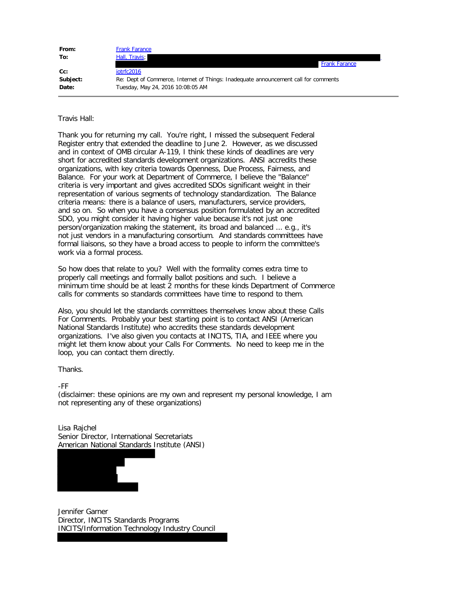| From:    | <b>Frank Farance</b>                                                                |
|----------|-------------------------------------------------------------------------------------|
| To:      | Hall, Travis;                                                                       |
|          | <b>Frank Farance</b>                                                                |
| $Cc$ :   | iotrfc2016                                                                          |
| Subject: | Re: Dept of Commerce, Internet of Things: Inadequate announcement call for comments |
| Date:    | Tuesday, May 24, 2016 10:08:05 AM                                                   |

## Travis Hall:

Thank you for returning my call. You're right, I missed the subsequent Federal Register entry that extended the deadline to June 2. However, as we discussed and in context of OMB circular A-119, I think these kinds of deadlines are very short for accredited standards development organizations. ANSI accredits these organizations, with key criteria towards Openness, Due Process, Fairness, and Balance. For your work at Department of Commerce, I believe the "Balance" criteria is very important and gives accredited SDOs significant weight in their representation of various segments of technology standardization. The Balance criteria means: there is a balance of users, manufacturers, service providers, and so on. So when you have a consensus position formulated by an accredited SDO, you might consider it having higher value because it's not just one person/organization making the statement, its broad and balanced ... e.g., it's not just vendors in a manufacturing consortium. And standards committees have formal liaisons, so they have a broad access to people to inform the committee's work via a formal process.

So how does that relate to you? Well with the formality comes extra time to properly call meetings and formally ballot positions and such. I believe a minimum time should be at least 2 months for these kinds Department of Commerce calls for comments so standards committees have time to respond to them.

Also, you should let the standards committees themselves know about these Calls For Comments. Probably your best starting point is to contact ANSI (American National Standards Institute) who accredits these standards development organizations. I've also given you contacts at INCITS, TIA, and IEEE where you might let them know about your Calls For Comments. No need to keep me in the loop, you can contact them directly.

Thanks.

-FF

(disclaimer: these opinions are my own and represent my personal knowledge, I am not representing any of these organizations)

Lisa Rajchel Senior Director, International Secretariats American National Standards Institute (ANSI)



Jennifer Garner Director, INCITS Standards Programs INCITS/Information Technology Industry Council